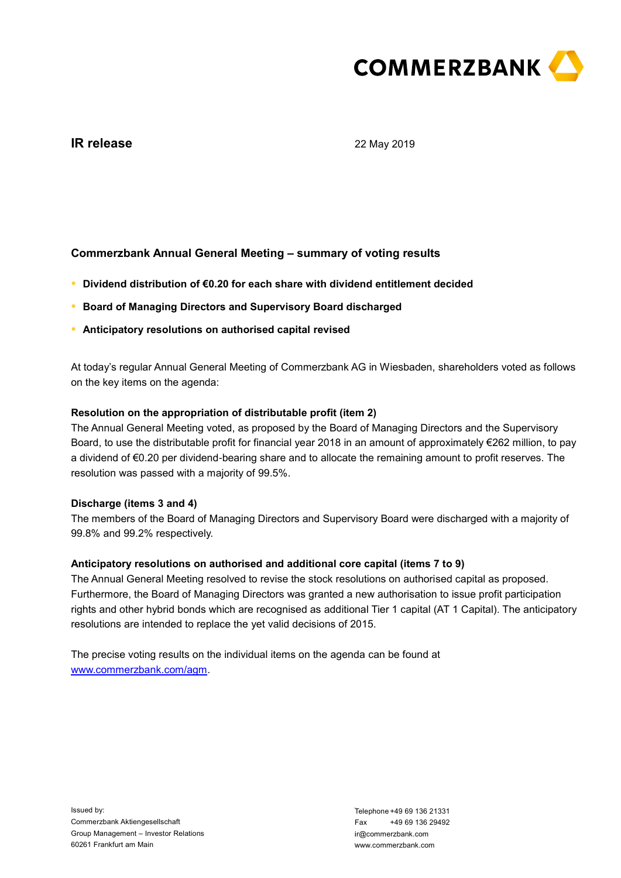

# **IR release**

22 May 2019

# **Commerzbank Annual General Meeting – summary of voting results**

- **● Dividend distribution of €0.20 for each share with dividend entitlement decided**
- **● Board of Managing Directors and Supervisory Board discharged**
- **● Anticipatory resolutions on authorised capital revised**

At today's regular Annual General Meeting of Commerzbank AG in Wiesbaden, shareholders voted as follows on the key items on the agenda:

## **Resolution on the appropriation of distributable profit (item 2)**

The Annual General Meeting voted, as proposed by the Board of Managing Directors and the Supervisory Board, to use the distributable profit for financial year 2018 in an amount of approximately €262 million, to pay a dividend of €0.20 per dividend-bearing share and to allocate the remaining amount to profit reserves. The resolution was passed with a majority of 99.5%.

### **Discharge (items 3 and 4)**

The members of the Board of Managing Directors and Supervisory Board were discharged with a majority of 99.8% and 99.2% respectively.

#### **Anticipatory resolutions on authorised and additional core capital (items 7 to 9)**

The Annual General Meeting resolved to revise the stock resolutions on authorised capital as proposed. Furthermore, the Board of Managing Directors was granted a new authorisation to issue profit participation rights and other hybrid bonds which are recognised as additional Tier 1 capital (AT 1 Capital). The anticipatory resolutions are intended to replace the yet valid decisions of 2015.

The precise voting results on the individual items on the agenda can be found at [www.commerzbank.com/agm.](http://www.commerzbank.com/agm)